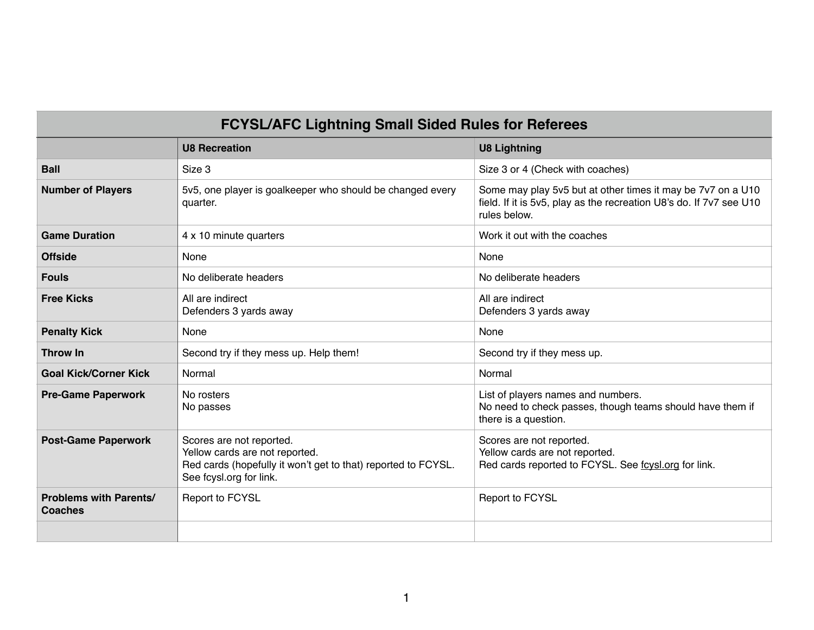| <b>FCYSL/AFC Lightning Small Sided Rules for Referees</b> |                                                                                                                                                        |                                                                                                                                                    |  |
|-----------------------------------------------------------|--------------------------------------------------------------------------------------------------------------------------------------------------------|----------------------------------------------------------------------------------------------------------------------------------------------------|--|
|                                                           | <b>U8 Recreation</b>                                                                                                                                   | <b>U8 Lightning</b>                                                                                                                                |  |
| <b>Ball</b>                                               | Size 3                                                                                                                                                 | Size 3 or 4 (Check with coaches)                                                                                                                   |  |
| <b>Number of Players</b>                                  | 5v5, one player is goalkeeper who should be changed every<br>quarter.                                                                                  | Some may play 5v5 but at other times it may be 7v7 on a U10<br>field. If it is 5v5, play as the recreation U8's do. If 7v7 see U10<br>rules below. |  |
| <b>Game Duration</b>                                      | 4 x 10 minute quarters                                                                                                                                 | Work it out with the coaches                                                                                                                       |  |
| <b>Offside</b>                                            | None                                                                                                                                                   | None                                                                                                                                               |  |
| <b>Fouls</b>                                              | No deliberate headers                                                                                                                                  | No deliberate headers                                                                                                                              |  |
| <b>Free Kicks</b>                                         | All are indirect<br>Defenders 3 yards away                                                                                                             | All are indirect<br>Defenders 3 yards away                                                                                                         |  |
| <b>Penalty Kick</b>                                       | None                                                                                                                                                   | None                                                                                                                                               |  |
| <b>Throw In</b>                                           | Second try if they mess up. Help them!                                                                                                                 | Second try if they mess up.                                                                                                                        |  |
| <b>Goal Kick/Corner Kick</b>                              | Normal                                                                                                                                                 | Normal                                                                                                                                             |  |
| <b>Pre-Game Paperwork</b>                                 | No rosters<br>No passes                                                                                                                                | List of players names and numbers.<br>No need to check passes, though teams should have them if<br>there is a question.                            |  |
| <b>Post-Game Paperwork</b>                                | Scores are not reported.<br>Yellow cards are not reported.<br>Red cards (hopefully it won't get to that) reported to FCYSL.<br>See fcysl.org for link. | Scores are not reported.<br>Yellow cards are not reported.<br>Red cards reported to FCYSL. See foysl.org for link.                                 |  |
| <b>Problems with Parents/</b><br><b>Coaches</b>           | Report to FCYSL                                                                                                                                        | Report to FCYSL                                                                                                                                    |  |
|                                                           |                                                                                                                                                        |                                                                                                                                                    |  |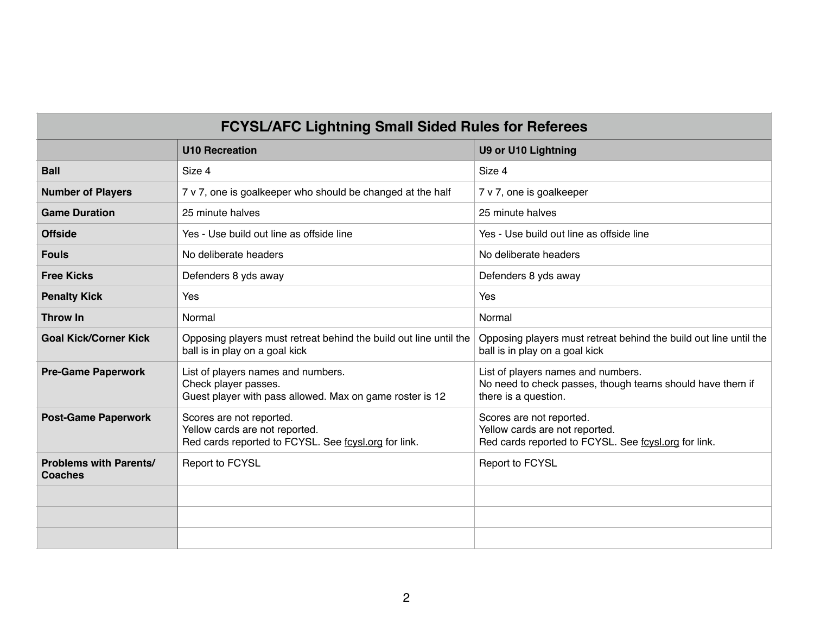| <b>FCYSL/AFC Lightning Small Sided Rules for Referees</b> |                                                                                                                        |                                                                                                                         |  |
|-----------------------------------------------------------|------------------------------------------------------------------------------------------------------------------------|-------------------------------------------------------------------------------------------------------------------------|--|
|                                                           | <b>U10 Recreation</b>                                                                                                  | <b>U9 or U10 Lightning</b>                                                                                              |  |
| <b>Ball</b>                                               | Size 4                                                                                                                 | Size 4                                                                                                                  |  |
| <b>Number of Players</b>                                  | 7 v 7, one is goalkeeper who should be changed at the half                                                             | 7 v 7, one is goalkeeper                                                                                                |  |
| <b>Game Duration</b>                                      | 25 minute halves                                                                                                       | 25 minute halves                                                                                                        |  |
| <b>Offside</b>                                            | Yes - Use build out line as offside line                                                                               | Yes - Use build out line as offside line                                                                                |  |
| <b>Fouls</b>                                              | No deliberate headers                                                                                                  | No deliberate headers                                                                                                   |  |
| <b>Free Kicks</b>                                         | Defenders 8 yds away                                                                                                   | Defenders 8 yds away                                                                                                    |  |
| <b>Penalty Kick</b>                                       | Yes                                                                                                                    | Yes                                                                                                                     |  |
| <b>Throw In</b>                                           | Normal                                                                                                                 | Normal                                                                                                                  |  |
| <b>Goal Kick/Corner Kick</b>                              | Opposing players must retreat behind the build out line until the<br>ball is in play on a goal kick                    | Opposing players must retreat behind the build out line until the<br>ball is in play on a goal kick                     |  |
| <b>Pre-Game Paperwork</b>                                 | List of players names and numbers.<br>Check player passes.<br>Guest player with pass allowed. Max on game roster is 12 | List of players names and numbers.<br>No need to check passes, though teams should have them if<br>there is a question. |  |
| <b>Post-Game Paperwork</b>                                | Scores are not reported.<br>Yellow cards are not reported.<br>Red cards reported to FCYSL. See foysl.org for link.     | Scores are not reported.<br>Yellow cards are not reported.<br>Red cards reported to FCYSL. See foysl.org for link.      |  |
| <b>Problems with Parents/</b><br><b>Coaches</b>           | Report to FCYSL                                                                                                        | Report to FCYSL                                                                                                         |  |
|                                                           |                                                                                                                        |                                                                                                                         |  |
|                                                           |                                                                                                                        |                                                                                                                         |  |
|                                                           |                                                                                                                        |                                                                                                                         |  |